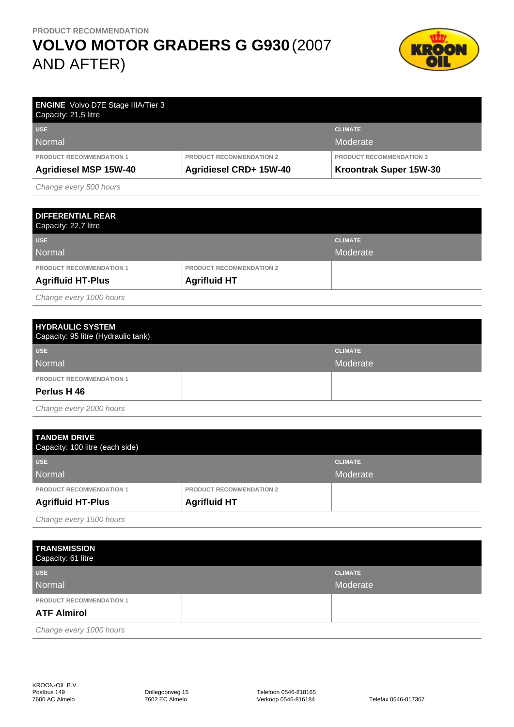## **VOLVO MOTOR GRADERS G G930** (2007 AND AFTER)



| <b>ENGINE</b> Volvo D7E Stage IIIA/Tier 3<br>Capacity: 21,5 litre |                                 |                                 |
|-------------------------------------------------------------------|---------------------------------|---------------------------------|
| <b>USE</b>                                                        |                                 | <b>CLIMATE</b>                  |
| Normal                                                            |                                 | Moderate                        |
| <b>PRODUCT RECOMMENDATION 1</b>                                   | <b>PRODUCT RECOMMENDATION 2</b> | <b>PRODUCT RECOMMENDATION 3</b> |
| <b>Agridiesel MSP 15W-40</b>                                      | Agridiesel CRD+ 15W-40          | Kroontrak Super 15W-30          |

Change every 500 hours

| <b>DIFFERENTIAL REAR</b><br>Capacity: 22,7 litre |                                 |                |
|--------------------------------------------------|---------------------------------|----------------|
| <b>USE</b>                                       |                                 | <b>CLIMATE</b> |
| Normal                                           |                                 | Moderate       |
| <b>PRODUCT RECOMMENDATION 1</b>                  | <b>PRODUCT RECOMMENDATION 2</b> |                |
| <b>Agrifluid HT-Plus</b>                         | <b>Agrifluid HT</b>             |                |

Change every 1000 hours

| <b>HYDRAULIC SYSTEM</b><br>Capacity: 95 litre (Hydraulic tank) |                |
|----------------------------------------------------------------|----------------|
| <b>USE</b>                                                     | <b>CLIMATE</b> |
| Normal                                                         | Moderate       |
| <b>PRODUCT RECOMMENDATION 1</b>                                |                |
| Perlus H 46                                                    |                |
| .                                                              |                |

Change every 2000 hours

| <b>TANDEM DRIVE</b><br>Capacity: 100 litre (each side) |                                 |                |
|--------------------------------------------------------|---------------------------------|----------------|
| <b>USE</b>                                             |                                 | <b>CLIMATE</b> |
| Normal                                                 |                                 | Moderate       |
| <b>PRODUCT RECOMMENDATION 1</b>                        | <b>PRODUCT RECOMMENDATION 2</b> |                |
| <b>Agrifluid HT-Plus</b>                               | <b>Agrifluid HT</b>             |                |
|                                                        |                                 |                |

Change every 1500 hours

| <b>TRANSMISSION</b><br>Capacity: 61 litre |                |
|-------------------------------------------|----------------|
| <b>USE</b>                                | <b>CLIMATE</b> |
| Normal                                    | Moderate       |
| <b>PRODUCT RECOMMENDATION 1</b>           |                |
| <b>ATF Almirol</b>                        |                |
| Change every 1000 hours                   |                |